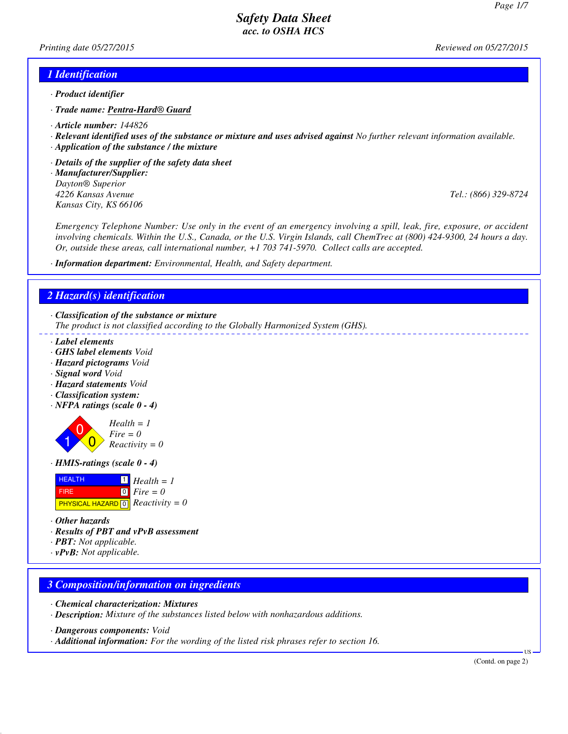*Printing date 05/27/2015 Reviewed on 05/27/2015*

#### *1 Identification*

- *· Product identifier*
- *· Trade name: Pentra-Hard® Guard*
- *· Article number: 144826*
- *· Relevant identified uses of the substance or mixture and uses advised against No further relevant information available.*
- *· Application of the substance / the mixture*
- *· Details of the supplier of the safety data sheet*
- *· Manufacturer/Supplier: Dayton® Superior 4226 Kansas Avenue Tel.: (866) 329-8724 Kansas City, KS 66106*

*Emergency Telephone Number: Use only in the event of an emergency involving a spill, leak, fire, exposure, or accident involving chemicals. Within the U.S., Canada, or the U.S. Virgin Islands, call ChemTrec at (800) 424-9300, 24 hours a day. Or, outside these areas, call international number, +1 703 741-5970. Collect calls are accepted.*

*· Information department: Environmental, Health, and Safety department.*

#### *2 Hazard(s) identification*

*· Classification of the substance or mixture*

*The product is not classified according to the Globally Harmonized System (GHS).*

- *· Label elements*
- *· GHS label elements Void*
- *· Hazard pictograms Void*
- *· Signal word Void*
- *· Hazard statements Void*
- *· Classification system:*
- *· NFPA ratings (scale 0 4)*



*· HMIS-ratings (scale 0 - 4)*



- *· Other hazards*
- *· Results of PBT and vPvB assessment*
- *· PBT: Not applicable.*
- *· vPvB: Not applicable.*

#### *3 Composition/information on ingredients*

- *· Chemical characterization: Mixtures*
- *· Description: Mixture of the substances listed below with nonhazardous additions.*
- *· Dangerous components: Void*
- *· Additional information: For the wording of the listed risk phrases refer to section 16.*

US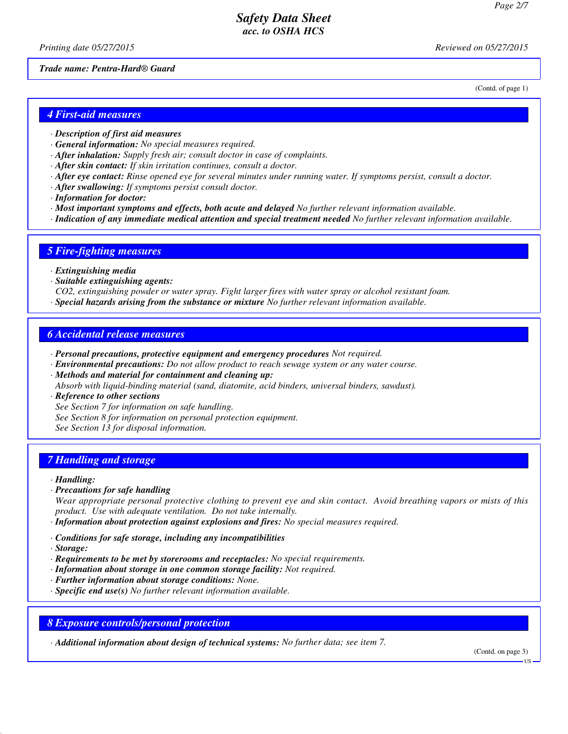*Printing date 05/27/2015 Reviewed on 05/27/2015*

*Trade name: Pentra-Hard® Guard*

(Contd. of page 1)

#### *4 First-aid measures*

- *· Description of first aid measures*
- *· General information: No special measures required.*
- *· After inhalation: Supply fresh air; consult doctor in case of complaints.*
- *· After skin contact: If skin irritation continues, consult a doctor.*
- *· After eye contact: Rinse opened eye for several minutes under running water. If symptoms persist, consult a doctor.*
- *· After swallowing: If symptoms persist consult doctor.*
- *· Information for doctor:*
- *· Most important symptoms and effects, both acute and delayed No further relevant information available.*
- *· Indication of any immediate medical attention and special treatment needed No further relevant information available.*

#### *5 Fire-fighting measures*

- *· Extinguishing media*
- *· Suitable extinguishing agents:*
- *CO2, extinguishing powder or water spray. Fight larger fires with water spray or alcohol resistant foam.*
- *· Special hazards arising from the substance or mixture No further relevant information available.*

#### *6 Accidental release measures*

- *· Personal precautions, protective equipment and emergency procedures Not required.*
- *· Environmental precautions: Do not allow product to reach sewage system or any water course.*
- *· Methods and material for containment and cleaning up:*
- *Absorb with liquid-binding material (sand, diatomite, acid binders, universal binders, sawdust).*

*· Reference to other sections*

*See Section 7 for information on safe handling.*

*See Section 8 for information on personal protection equipment.*

*See Section 13 for disposal information.*

## *7 Handling and storage*

#### *· Handling:*

*· Precautions for safe handling*

*Wear appropriate personal protective clothing to prevent eye and skin contact. Avoid breathing vapors or mists of this product. Use with adequate ventilation. Do not take internally.*

- *· Information about protection against explosions and fires: No special measures required.*
- *· Conditions for safe storage, including any incompatibilities*
- *· Storage:*
- *· Requirements to be met by storerooms and receptacles: No special requirements.*
- *· Information about storage in one common storage facility: Not required.*
- *· Further information about storage conditions: None.*
- *· Specific end use(s) No further relevant information available.*

## *8 Exposure controls/personal protection*

*· Additional information about design of technical systems: No further data; see item 7.*

(Contd. on page 3)

US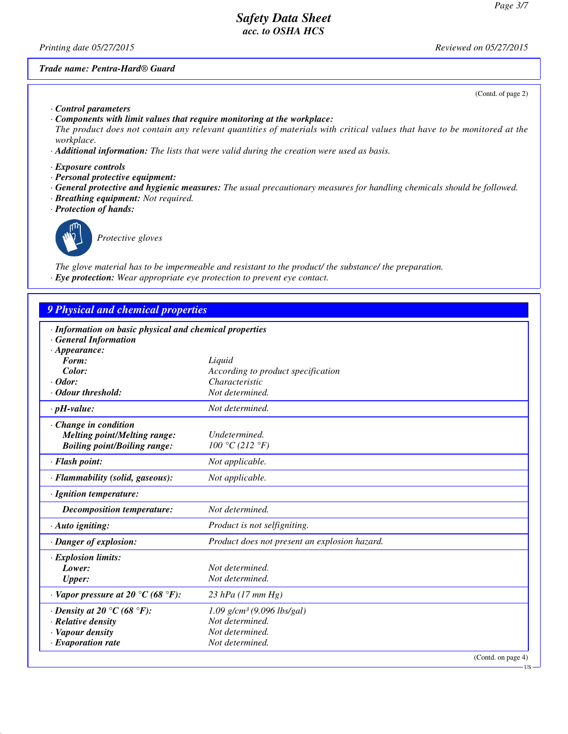*Printing date 05/27/2015 Reviewed on 05/27/2015*

#### *Trade name: Pentra-Hard® Guard*

(Contd. of page 2)

- *· Control parameters*
- *· Components with limit values that require monitoring at the workplace:*
- *The product does not contain any relevant quantities of materials with critical values that have to be monitored at the workplace.*
- *· Additional information: The lists that were valid during the creation were used as basis.*
- *· Exposure controls*
- *· Personal protective equipment:*
- *· General protective and hygienic measures: The usual precautionary measures for handling chemicals should be followed.*
- *· Breathing equipment: Not required.*
- *· Protection of hands:*



*Protective gloves*

*The glove material has to be impermeable and resistant to the product/ the substance/ the preparation. · Eye protection: Wear appropriate eye protection to prevent eye contact.*

## *9 Physical and chemical properties*

| · Information on basic physical and chemical properties |                                               |
|---------------------------------------------------------|-----------------------------------------------|
| · General Information                                   |                                               |
| $\cdot$ Appearance:                                     |                                               |
| Form:                                                   | Liquid                                        |
| Color:                                                  | According to product specification            |
| $\cdot$ Odor:                                           | Characteristic                                |
| · Odour threshold:                                      | Not determined.                               |
| $\cdot$ pH-value:                                       | Not determined.                               |
| · Change in condition                                   |                                               |
| <b>Melting point/Melting range:</b>                     | Undetermined.                                 |
| <b>Boiling point/Boiling range:</b>                     | 100 °C (212 °F)                               |
| · Flash point:                                          | Not applicable.                               |
| · Flammability (solid, gaseous):                        | Not applicable.                               |
| · Ignition temperature:                                 |                                               |
| <b>Decomposition temperature:</b>                       | Not determined.                               |
| $\cdot$ Auto igniting:                                  | Product is not selfigniting.                  |
| · Danger of explosion:                                  | Product does not present an explosion hazard. |
| · Explosion limits:                                     |                                               |
| Lower:                                                  | Not determined.                               |
| <b>Upper:</b>                                           | Not determined.                               |
| $\cdot$ Vapor pressure at 20 °C (68 °F):                | 23 hPa (17 mm Hg)                             |
| $\cdot$ Density at 20 °C (68 °F):                       | $1.09$ g/cm <sup>3</sup> (9.096 lbs/gal)      |
| · Relative density                                      | Not determined.                               |
| · Vapour density                                        | Not determined.                               |
| $\cdot$ Evaporation rate                                | Not determined.                               |
|                                                         | (Contd. on page 4)                            |

US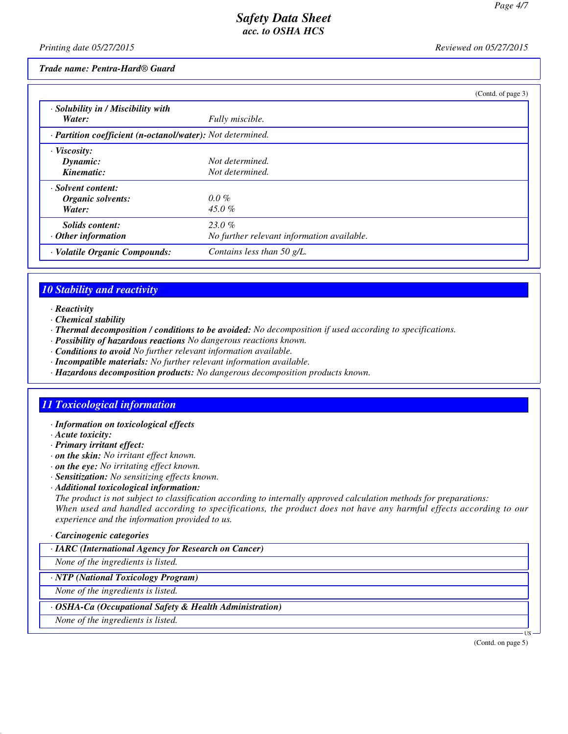*Printing date 05/27/2015 Reviewed on 05/27/2015*

*Trade name: Pentra-Hard® Guard*

|                                                            |                                            | (Contd. of page 3) |
|------------------------------------------------------------|--------------------------------------------|--------------------|
| · Solubility in / Miscibility with                         |                                            |                    |
| Water:                                                     | Fully miscible.                            |                    |
| · Partition coefficient (n-octanol/water): Not determined. |                                            |                    |
| · Viscosity:                                               |                                            |                    |
| Dynamic:                                                   | Not determined.                            |                    |
| Kinematic:                                                 | Not determined.                            |                    |
| · Solvent content:                                         |                                            |                    |
| Organic solvents:                                          | $0.0\%$                                    |                    |
| Water:                                                     | 45.0 $%$                                   |                    |
| Solids content:                                            | $23.0\%$                                   |                    |
| Other information                                          | No further relevant information available. |                    |
| · Volatile Organic Compounds:                              | Contains less than 50 $g/L$ .              |                    |

# *10 Stability and reactivity*

- *· Reactivity*
- *· Chemical stability*
- *· Thermal decomposition / conditions to be avoided: No decomposition if used according to specifications.*
- *· Possibility of hazardous reactions No dangerous reactions known.*
- *· Conditions to avoid No further relevant information available.*
- *· Incompatible materials: No further relevant information available.*
- *· Hazardous decomposition products: No dangerous decomposition products known.*

## *11 Toxicological information*

- *· Information on toxicological effects*
- *· Acute toxicity:*
- *· Primary irritant effect:*
- *· on the skin: No irritant effect known.*
- *· on the eye: No irritating effect known.*
- *· Sensitization: No sensitizing effects known.*
- *· Additional toxicological information:*

*The product is not subject to classification according to internally approved calculation methods for preparations: When used and handled according to specifications, the product does not have any harmful effects according to our experience and the information provided to us.*

#### *· Carcinogenic categories*

#### *· IARC (International Agency for Research on Cancer)*

*None of the ingredients is listed.*

*· NTP (National Toxicology Program)*

*None of the ingredients is listed.*

#### *· OSHA-Ca (Occupational Safety & Health Administration)*

*None of the ingredients is listed.*

(Contd. on page 5)

US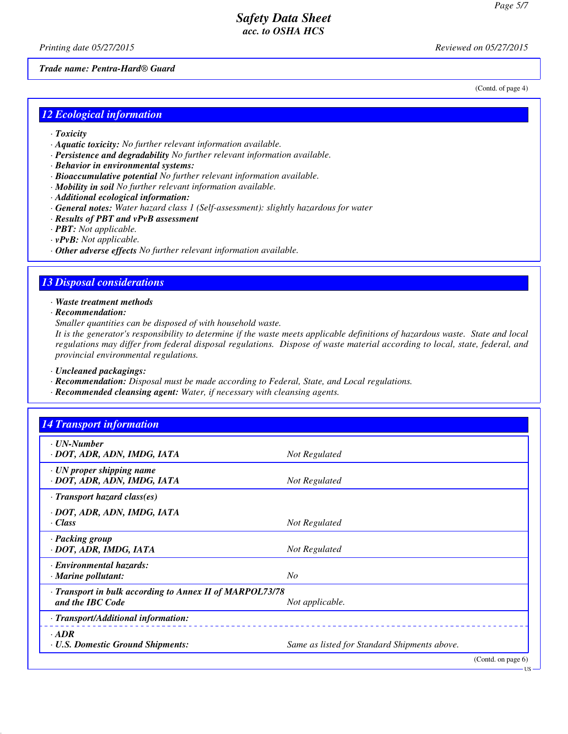(Contd. of page 4)

US

## *Safety Data Sheet acc. to OSHA HCS*

*Printing date 05/27/2015 Reviewed on 05/27/2015*

*Trade name: Pentra-Hard® Guard*

#### *12 Ecological information*

- *· Toxicity*
- *· Aquatic toxicity: No further relevant information available.*
- *· Persistence and degradability No further relevant information available.*
- *· Behavior in environmental systems:*
- *· Bioaccumulative potential No further relevant information available.*
- *· Mobility in soil No further relevant information available.*
- *· Additional ecological information:*
- *· General notes: Water hazard class 1 (Self-assessment): slightly hazardous for water*
- *· Results of PBT and vPvB assessment*
- *· PBT: Not applicable.*
- *· vPvB: Not applicable.*
- *· Other adverse effects No further relevant information available.*

# *13 Disposal considerations*

*· Waste treatment methods*

*· Recommendation:*

*Smaller quantities can be disposed of with household waste.*

*It is the generator's responsibility to determine if the waste meets applicable definitions of hazardous waste. State and local regulations may differ from federal disposal regulations. Dispose of waste material according to local, state, federal, and provincial environmental regulations.*

*· Uncleaned packagings:*

- *· Recommendation: Disposal must be made according to Federal, State, and Local regulations.*
- *· Recommended cleansing agent: Water, if necessary with cleansing agents.*

| <b>14 Transport information</b>                                              |                                              |
|------------------------------------------------------------------------------|----------------------------------------------|
| · UN-Number<br>· DOT, ADR, ADN, IMDG, IATA                                   | Not Regulated                                |
| · UN proper shipping name<br>· DOT, ADR, ADN, IMDG, IATA                     | Not Regulated                                |
| $\cdot$ Transport hazard class(es)                                           |                                              |
| · DOT, ADR, ADN, IMDG, IATA<br>· Class                                       | Not Regulated                                |
| · Packing group<br>· DOT, ADR, IMDG, IATA                                    | Not Regulated                                |
| · Environmental hazards:<br>· Marine pollutant:                              | N <sub>O</sub>                               |
| · Transport in bulk according to Annex II of MARPOL73/78<br>and the IBC Code | Not applicable.                              |
| · Transport/Additional information:                                          |                                              |
| $.$ ADR<br><b>· U.S. Domestic Ground Shipments:</b>                          | Same as listed for Standard Shipments above. |
|                                                                              | (Contd. on page 6)                           |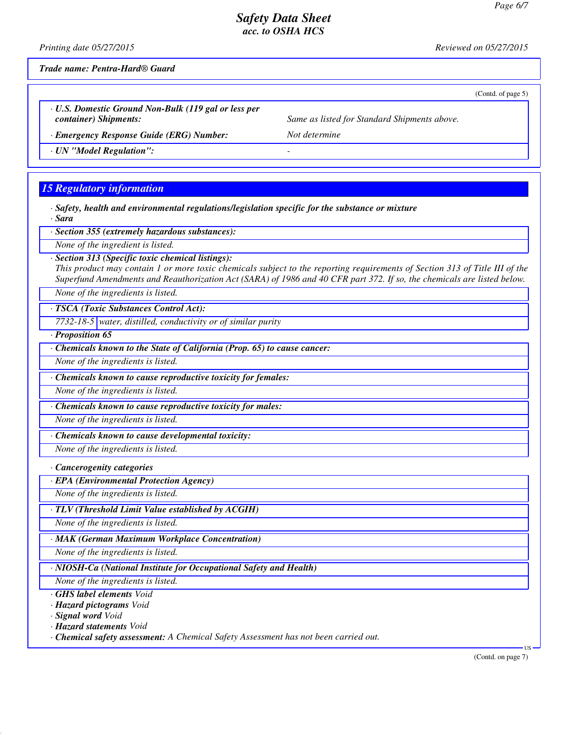*Printing date 05/27/2015 Reviewed on 05/27/2015*

*Trade name: Pentra-Hard® Guard*

*· U.S. Domestic Ground Non-Bulk (119 gal or less per container) Shipments: Same as listed for Standard Shipments above.*

*· Emergency Response Guide (ERG) Number: Not determine*

*· UN "Model Regulation": -* 

## *15 Regulatory information*

*· Safety, health and environmental regulations/legislation specific for the substance or mixture · Sara*

*· Section 355 (extremely hazardous substances):*

*None of the ingredient is listed.*

*· Section 313 (Specific toxic chemical listings):*

*This product may contain 1 or more toxic chemicals subject to the reporting requirements of Section 313 of Title III of the Superfund Amendments and Reauthorization Act (SARA) of 1986 and 40 CFR part 372. If so, the chemicals are listed below.*

*None of the ingredients is listed.*

*· TSCA (Toxic Substances Control Act):*

*7732-18-5 water, distilled, conductivity or of similar purity*

*· Proposition 65*

*· Chemicals known to the State of California (Prop. 65) to cause cancer:*

*None of the ingredients is listed.*

*· Chemicals known to cause reproductive toxicity for females:*

*None of the ingredients is listed.*

*· Chemicals known to cause reproductive toxicity for males:*

*None of the ingredients is listed.*

*· Chemicals known to cause developmental toxicity:*

*None of the ingredients is listed.*

*· Cancerogenity categories*

*· EPA (Environmental Protection Agency)*

*None of the ingredients is listed.*

*· TLV (Threshold Limit Value established by ACGIH)*

*None of the ingredients is listed.*

*· MAK (German Maximum Workplace Concentration)*

*None of the ingredients is listed.*

*· NIOSH-Ca (National Institute for Occupational Safety and Health)*

*None of the ingredients is listed.*

*· GHS label elements Void*

*· Hazard pictograms Void*

*· Signal word Void*

*· Hazard statements Void*

*· Chemical safety assessment: A Chemical Safety Assessment has not been carried out.*

US

(Contd. of page 5)